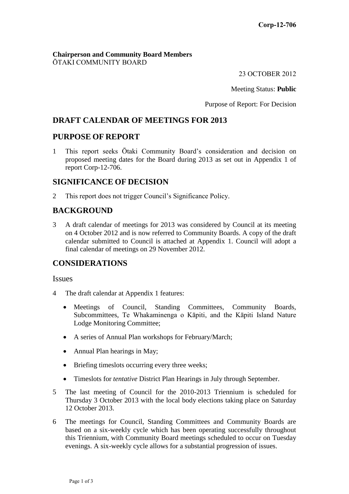#### **Chairperson and Community Board Members** ŌTAKI COMMUNITY BOARD

23 OCTOBER 2012

Meeting Status: **Public**

Purpose of Report: For Decision

# **DRAFT CALENDAR OF MEETINGS FOR 2013**

### **PURPOSE OF REPORT**

1 This report seeks Ōtaki Community Board's consideration and decision on proposed meeting dates for the Board during 2013 as set out in Appendix 1 of report Corp-12-706.

## **SIGNIFICANCE OF DECISION**

2 This report does not trigger Council's Significance Policy.

## **BACKGROUND**

3 A draft calendar of meetings for 2013 was considered by Council at its meeting on 4 October 2012 and is now referred to Community Boards. A copy of the draft calendar submitted to Council is attached at Appendix 1. Council will adopt a final calendar of meetings on 29 November 2012.

## **CONSIDERATIONS**

Issues

- 4 The draft calendar at Appendix 1 features:
	- Meetings of Council, Standing Committees, Community Boards, Subcommittees, Te Whakaminenga o Kāpiti, and the Kāpiti Island Nature Lodge Monitoring Committee;
	- A series of Annual Plan workshops for February/March;
	- Annual Plan hearings in May;
	- Briefing timeslots occurring every three weeks;
	- Timeslots for *tentative* District Plan Hearings in July through September.
- 5 The last meeting of Council for the 2010-2013 Triennium is scheduled for Thursday 3 October 2013 with the local body elections taking place on Saturday 12 October 2013.
- 6 The meetings for Council, Standing Committees and Community Boards are based on a six-weekly cycle which has been operating successfully throughout this Triennium, with Community Board meetings scheduled to occur on Tuesday evenings. A six-weekly cycle allows for a substantial progression of issues.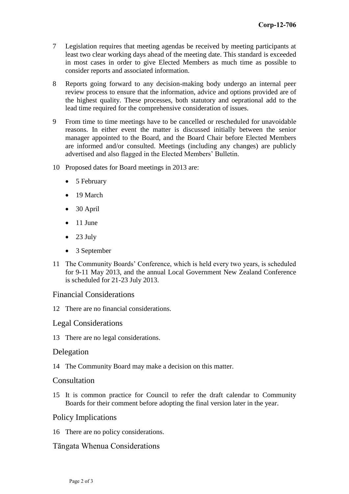- 7 Legislation requires that meeting agendas be received by meeting participants at least two clear working days ahead of the meeting date. This standard is exceeded in most cases in order to give Elected Members as much time as possible to consider reports and associated information.
- 8 Reports going forward to any decision-making body undergo an internal peer review process to ensure that the information, advice and options provided are of the highest quality. These processes, both statutory and oeprational add to the lead time required for the comprehensive consideration of issues.
- 9 From time to time meetings have to be cancelled or rescheduled for unavoidable reasons. In either event the matter is discussed initially between the senior manager appointed to the Board, and the Board Chair before Elected Members are informed and/or consulted. Meetings (including any changes) are publicly advertised and also flagged in the Elected Members' Bulletin.
- 10 Proposed dates for Board meetings in 2013 are:
	- 5 February
	- 19 March
	- 30 April
	- $\bullet$  11 June
	- $\bullet$  23 July
	- 3 September
- 11 The Community Boards' Conference, which is held every two years, is scheduled for 9-11 May 2013, and the annual Local Government New Zealand Conference is scheduled for 21-23 July 2013.

#### Financial Considerations

12 There are no financial considerations.

#### Legal Considerations

13 There are no legal considerations.

#### Delegation

14 The Community Board may make a decision on this matter.

#### **Consultation**

15 It is common practice for Council to refer the draft calendar to Community Boards for their comment before adopting the final version later in the year.

#### Policy Implications

16 There are no policy considerations.

### Tāngata Whenua Considerations